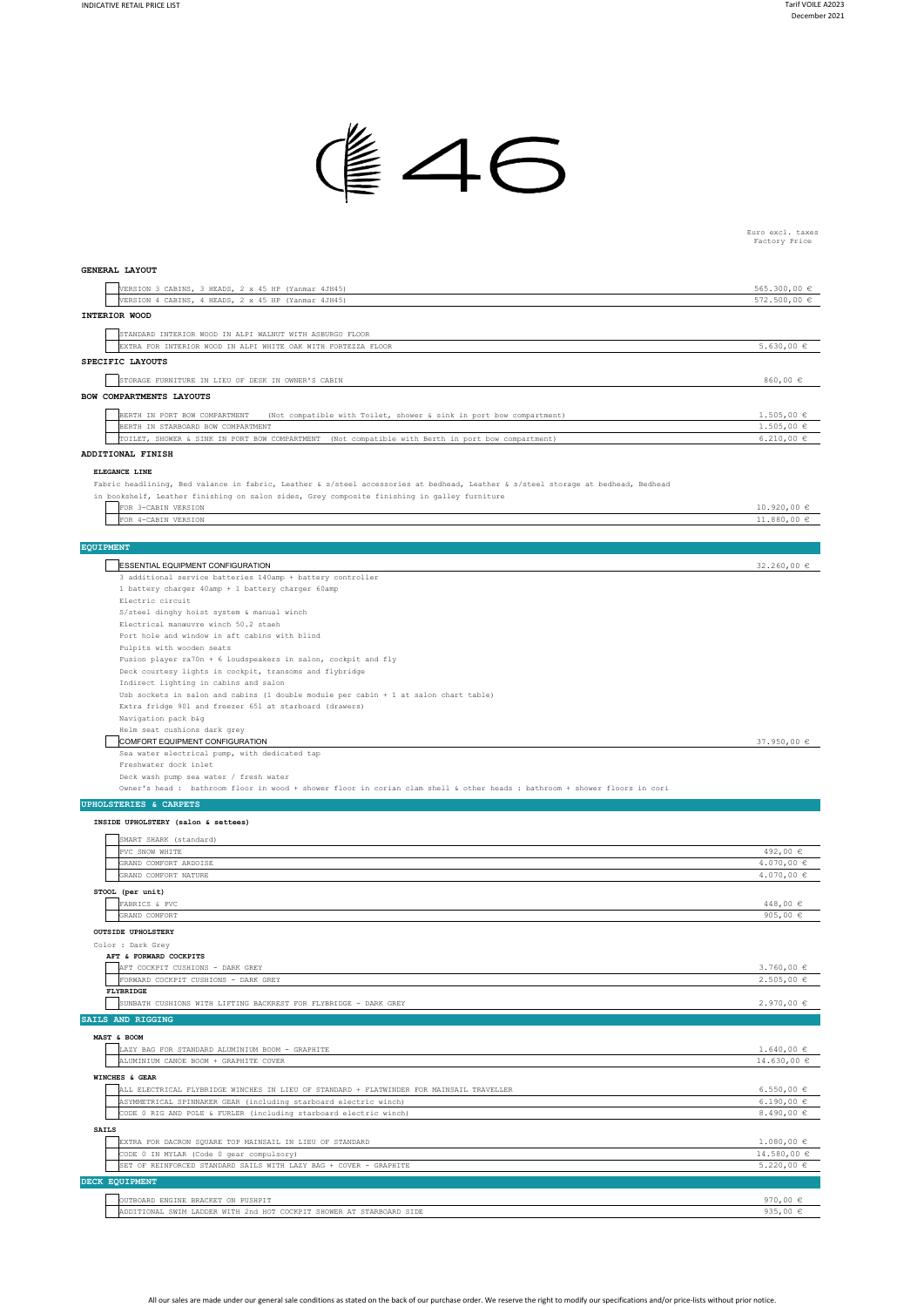

Euro excl. taxes Factory Price

| GENERAL LAYOUT                                                                                                                                                        |                                  |
|-----------------------------------------------------------------------------------------------------------------------------------------------------------------------|----------------------------------|
| VERSION 3 CABINS, 3 HEADS, 2 x 45 HP (Yanmar 4JH45)                                                                                                                   | 565.300,00 €                     |
| VERSION 4 CABINS, 4 HEADS, 2 x 45 HP (Yanmar 4JH45)                                                                                                                   | 572.500,00 €                     |
| INTERIOR WOOD                                                                                                                                                         |                                  |
| STANDARD INTERIOR WOOD IN ALPI WALNUT WITH ASBURGO FLOOR                                                                                                              |                                  |
| EXTRA FOR INTERIOR WOOD IN ALPI WHITE OAK WITH FORTEZZA FLOOR                                                                                                         | 5.630,00 $\in$                   |
| SPECIFIC LAYOUTS                                                                                                                                                      |                                  |
| STORAGE FURNITURE IN LIEU OF DESK IN OWNER'S CABIN                                                                                                                    | 860,00 €                         |
| BOW COMPARTMENTS LAYOUTS                                                                                                                                              |                                  |
|                                                                                                                                                                       |                                  |
| BERTH IN PORT BOW COMPARTMENT<br>(Not compatible with Toilet, shower & sink in port bow compartment)<br>BERTH IN STARBOARD BOW COMPARTMENT                            | $1.505,00 \in$<br>$1.505,00 \in$ |
| TOILET, SHOWER & SINK IN PORT BOW COMPARTMENT (Not compatible with Berth in port bow compartment)                                                                     | 6.210,00 €                       |
| ADDITIONAL FINISH                                                                                                                                                     |                                  |
| ELEGANCE LINE                                                                                                                                                         |                                  |
| Fabric headlining, Bed valance in fabric, Leather & s/steel accessories at bedhead, Leather & s/steel storage at bedhead, Bedhead                                     |                                  |
| in bookshelf, Leather finishing on salon sides, Grey composite finishing in galley furniture                                                                          |                                  |
| FOR 3-CABIN VERSION                                                                                                                                                   | $10.920,00 \in$                  |
| FOR 4-CABIN VERSION                                                                                                                                                   | 11.880,00 €                      |
|                                                                                                                                                                       |                                  |
| <b>EQUIPMENT</b>                                                                                                                                                      |                                  |
| <b>ESSENTIAL EQUIPMENT CONFIGURATION</b>                                                                                                                              | 32.260,00 €                      |
| 3 additional service batteries 140amp + battery controller<br>1 battery charger 40amp + 1 battery charger 60amp                                                       |                                  |
| Electric circuit                                                                                                                                                      |                                  |
| S/steel dinghy hoist system & manual winch                                                                                                                            |                                  |
| Electrical manœuvre winch 50.2 staeh                                                                                                                                  |                                  |
| Port hole and window in aft cabins with blind                                                                                                                         |                                  |
| Pulpits with wooden seats<br>Fusion player ra70n + 6 loudspeakers in salon, cockpit and fly                                                                           |                                  |
| Deck courtesy lights in cockpit, transoms and flybridge                                                                                                               |                                  |
| Indirect lighting in cabins and salon                                                                                                                                 |                                  |
| Usb sockets in salon and cabins (1 double module per cabin + 1 at salon chart table)                                                                                  |                                  |
| Extra fridge 901 and freezer 651 at starboard (drawers)                                                                                                               |                                  |
| Navigation pack b&g<br>Helm seat cushions dark grey                                                                                                                   |                                  |
| COMFORT EQUIPMENT CONFIGURATION                                                                                                                                       | 37.950,00 $\epsilon$             |
| Sea water electrical pump, with dedicated tap                                                                                                                         |                                  |
| Freshwater dock inlet                                                                                                                                                 |                                  |
| Deck wash pump sea water / fresh water<br>Owner's head : bathroom floor in wood + shower floor in corian clam shell & other heads : bathroom + shower floors in coria |                                  |
|                                                                                                                                                                       |                                  |
| UPHOLSTERIES & CARPETS                                                                                                                                                |                                  |
| INSIDE UPHOLSTERY (salon & settees)                                                                                                                                   |                                  |
| SMART SHARK (standard)                                                                                                                                                |                                  |
| PVC SNOW WHITE                                                                                                                                                        | 492,00 €                         |
| GRAND COMFORT ARDOISE<br>GRAND COMFORT NATURE                                                                                                                         | 4.070,00 $\in$<br>4.070,00 $\in$ |
|                                                                                                                                                                       |                                  |
| STOOL (per unit)<br>FABRICS & PVC                                                                                                                                     | 448,00 €                         |
| GRAND COMFORT                                                                                                                                                         | 905,00 $\in$                     |
| <b>OUTSIDE UPHOLSTERY</b>                                                                                                                                             |                                  |
| Color : Dark Grey                                                                                                                                                     |                                  |
| AFT & FORWARD COCKPITS                                                                                                                                                |                                  |
| AFT COCKPIT CUSHIONS - DARK GREY                                                                                                                                      | $3.760,00 \in$                   |
| FORWARD COCKPIT CUSHIONS - DARK GREY<br>FLYBRIDGE                                                                                                                     | $2.505,00 \in$                   |
| SUNBATH CUSHIONS WITH LIFTING BACKREST FOR FLYBRIDGE - DARK GREY                                                                                                      | $2.970,00$ €                     |
| SAILS AND RIGGING                                                                                                                                                     |                                  |
|                                                                                                                                                                       |                                  |
| MAST & BOOM<br>LAZY BAG FOR STANDARD ALUMINIUM BOOM - GRAPHITE                                                                                                        | $1.640,00 \in$                   |
| ALUMINIUM CANOE BOOM + GRAPHITE COVER                                                                                                                                 | $14.630,00 \in$                  |
| WINCHES & GEAR                                                                                                                                                        |                                  |
| ALL ELECTRICAL FLYBRIDGE WINCHES IN LIEU OF STANDARD + FLATWINDER FOR MAINSAIL TRAVELLER                                                                              | 6.550,00 $\in$                   |
| ASYMMETRICAL SPINNAKER GEAR (including starboard electric winch)                                                                                                      | $6.190,00 \in$                   |
| CODE 0 RIG AND POLE & FURLER (including starboard electric winch)                                                                                                     | $8.490,00 \in$                   |
| <b>SAILS</b>                                                                                                                                                          |                                  |
| EXTRA FOR DACRON SQUARE TOP MAINSAIL IN LIEU OF STANDARD                                                                                                              | $1.080,00 \in$                   |
| CODE 0 IN MYLAR (Code 0 gear compulsory)                                                                                                                              | 14.580,00 €                      |
| SET OF REINFORCED STANDARD SAILS WITH LAZY BAG + COVER - GRAPHITE                                                                                                     | $5.220,00 \in$                   |
| DECK EQUIPMENT                                                                                                                                                        |                                  |
| OUTBOARD ENGINE BRACKET ON PUSHPIT                                                                                                                                    | 970,00 $\in$                     |

970,00 € 935,00 € OUTBOARD ENGINE BRACKET ON PUSHPIT ADDITIONAL SWIM LADDER WITH 2nd HOT COCKPIT SHOWER AT STARBOARD SIDE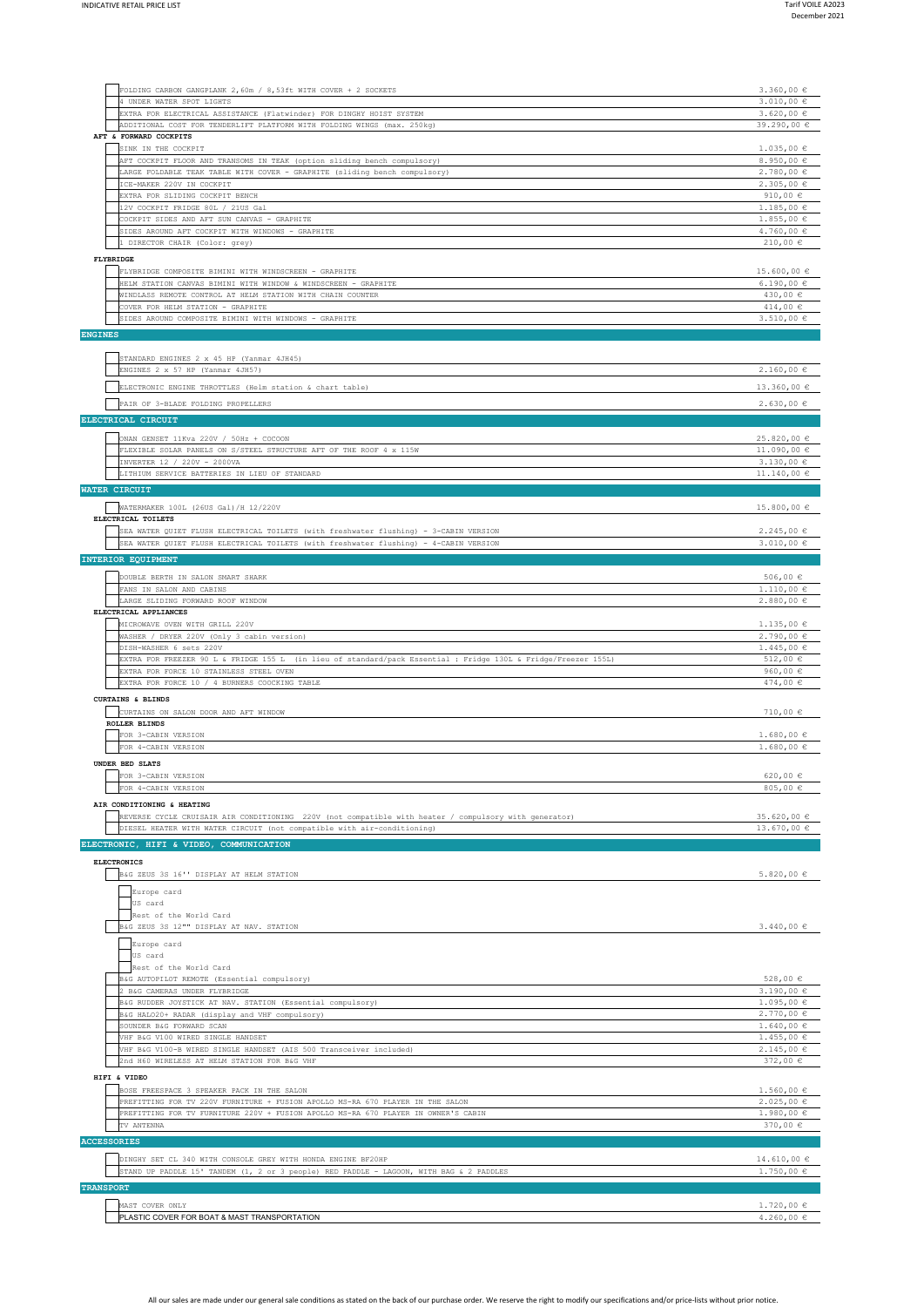| FOLDING CARBON GANGPLANK 2,60m / 8,53ft WITH COVER + 2 SOCKETS<br>4 UNDER WATER SPOT LIGHTS<br>EXTRA FOR ELECTRICAL ASSISTANCE (Flatwinder) FOR DINGHY HOIST SYSTEM<br>ADDITIONAL COST FOR TENDERLIFT PLATFORM WITH FOLDING WINGS (max. 250kg)<br>AFT & FORWARD COCKPITS<br>SINK IN THE COCKPIT<br>AFT COCKPIT FLOOR AND TRANSOMS IN TEAK (option sliding bench compulsory)<br>LARGE FOLDABLE TEAK TABLE WITH COVER - GRAPHITE (sliding bench compulsory)<br>ICE-MAKER 220V IN COCKPIT<br>EXTRA FOR SLIDING COCKPIT BENCH<br>12V COCKPIT FRIDGE 80L / 21US Gal<br>COCKPIT SIDES AND AFT SUN CANVAS - GRAPHITE<br>SIDES AROUND AFT COCKPIT WITH WINDOWS - GRAPHITE<br>1 DIRECTOR CHAIR (Color: grey)<br>FLYBRIDGE<br>FLYBRIDGE COMPOSITE BIMINI WITH WINDSCREEN - GRAPHITE<br>HELM STATION CANVAS BIMINI WITH WINDOW & WINDSCREEN - GRAPHITE<br>WINDLASS REMOTE CONTROL AT HELM STATION WITH CHAIN COUNTER<br>COVER FOR HELM STATION - GRAPHITE<br>SIDES AROUND COMPOSITE BIMINI WITH WINDOWS - GRAPHITE<br><b>ENGINES</b><br>STANDARD ENGINES 2 x 45 HP (Yanmar 4JH45)<br>ENGINES 2 x 57 HP (Yanmar 4JH57)<br>ELECTRONIC ENGINE THROTTLES (Helm station & chart table)<br>PAIR OF 3-BLADE FOLDING PROPELLERS<br>ELECTRICAL CIRCUIT<br>ONAN GENSET 11Kva 220V / 50Hz + COCOON<br>FLEXIBLE SOLAR PANELS ON S/STEEL STRUCTURE AFT OF THE ROOF 4 x 115W<br>INVERTER 12 / 220V - 2000VA<br>LITHIUM SERVICE BATTERIES IN LIEU OF STANDARD<br>WATER CIRCUIT<br>WATERMAKER 100L (26US Gal) /H 12/220V<br>ELECTRICAL TOILETS<br>SEA WATER QUIET FLUSH ELECTRICAL TOILETS (with freshwater flushing) - 3-CABIN VERSION<br>SEA WATER QUIET FLUSH ELECTRICAL TOILETS (with freshwater flushing) - 4-CABIN VERSION<br>INTERIOR EQUIPMENT<br>DOUBLE BERTH IN SALON SMART SHARK<br>FANS IN SALON AND CABINS<br>LARGE SLIDING FORWARD ROOF WINDOW<br>ELECTRICAL APPLIANCES<br>MICROWAVE OVEN WITH GRILL 220V<br>WASHER / DRYER 220V (Only 3 cabin version)<br>DISH-WASHER 6 sets 220V<br>EXTRA FOR FREEZER 90 L & FRIDGE 155 L (in lieu of standard/pack Essential : Fridge 130L & Fridge/Freezer 155L)<br>EXTRA FOR FORCE 10 STAINLESS STEEL OVEN<br>EXTRA FOR FORCE 10 / 4 BURNERS COOCKING TABLE | $3.360,00 \in$<br>$3.010,00 \in$<br>$3.620,00 \in$<br>39.290,00 €<br>$1.035,00 \in$<br>8.950,00 $\in$<br>2.780,00 €<br>2.305,00€<br>910,00 $\in$<br>$1.185,00 \in$<br>$1.855,00 \in$<br>$4.760,00 \in$<br>210,00 €<br>$15.600,00 \in$<br>$6.190,00 \in$<br>430,00 €<br>414,00 $\in$<br>$3.510,00 \in$<br>$2.160,00 \in$<br>13.360,00 € |
|-------------------------------------------------------------------------------------------------------------------------------------------------------------------------------------------------------------------------------------------------------------------------------------------------------------------------------------------------------------------------------------------------------------------------------------------------------------------------------------------------------------------------------------------------------------------------------------------------------------------------------------------------------------------------------------------------------------------------------------------------------------------------------------------------------------------------------------------------------------------------------------------------------------------------------------------------------------------------------------------------------------------------------------------------------------------------------------------------------------------------------------------------------------------------------------------------------------------------------------------------------------------------------------------------------------------------------------------------------------------------------------------------------------------------------------------------------------------------------------------------------------------------------------------------------------------------------------------------------------------------------------------------------------------------------------------------------------------------------------------------------------------------------------------------------------------------------------------------------------------------------------------------------------------------------------------------------------------------------------------------------------------------------------------------------------------------------------------------------------------------------------------------------------------------------------|----------------------------------------------------------------------------------------------------------------------------------------------------------------------------------------------------------------------------------------------------------------------------------------------------------------------------------------|
|                                                                                                                                                                                                                                                                                                                                                                                                                                                                                                                                                                                                                                                                                                                                                                                                                                                                                                                                                                                                                                                                                                                                                                                                                                                                                                                                                                                                                                                                                                                                                                                                                                                                                                                                                                                                                                                                                                                                                                                                                                                                                                                                                                                     |                                                                                                                                                                                                                                                                                                                                        |
|                                                                                                                                                                                                                                                                                                                                                                                                                                                                                                                                                                                                                                                                                                                                                                                                                                                                                                                                                                                                                                                                                                                                                                                                                                                                                                                                                                                                                                                                                                                                                                                                                                                                                                                                                                                                                                                                                                                                                                                                                                                                                                                                                                                     |                                                                                                                                                                                                                                                                                                                                        |
|                                                                                                                                                                                                                                                                                                                                                                                                                                                                                                                                                                                                                                                                                                                                                                                                                                                                                                                                                                                                                                                                                                                                                                                                                                                                                                                                                                                                                                                                                                                                                                                                                                                                                                                                                                                                                                                                                                                                                                                                                                                                                                                                                                                     |                                                                                                                                                                                                                                                                                                                                        |
|                                                                                                                                                                                                                                                                                                                                                                                                                                                                                                                                                                                                                                                                                                                                                                                                                                                                                                                                                                                                                                                                                                                                                                                                                                                                                                                                                                                                                                                                                                                                                                                                                                                                                                                                                                                                                                                                                                                                                                                                                                                                                                                                                                                     |                                                                                                                                                                                                                                                                                                                                        |
|                                                                                                                                                                                                                                                                                                                                                                                                                                                                                                                                                                                                                                                                                                                                                                                                                                                                                                                                                                                                                                                                                                                                                                                                                                                                                                                                                                                                                                                                                                                                                                                                                                                                                                                                                                                                                                                                                                                                                                                                                                                                                                                                                                                     |                                                                                                                                                                                                                                                                                                                                        |
|                                                                                                                                                                                                                                                                                                                                                                                                                                                                                                                                                                                                                                                                                                                                                                                                                                                                                                                                                                                                                                                                                                                                                                                                                                                                                                                                                                                                                                                                                                                                                                                                                                                                                                                                                                                                                                                                                                                                                                                                                                                                                                                                                                                     |                                                                                                                                                                                                                                                                                                                                        |
|                                                                                                                                                                                                                                                                                                                                                                                                                                                                                                                                                                                                                                                                                                                                                                                                                                                                                                                                                                                                                                                                                                                                                                                                                                                                                                                                                                                                                                                                                                                                                                                                                                                                                                                                                                                                                                                                                                                                                                                                                                                                                                                                                                                     |                                                                                                                                                                                                                                                                                                                                        |
|                                                                                                                                                                                                                                                                                                                                                                                                                                                                                                                                                                                                                                                                                                                                                                                                                                                                                                                                                                                                                                                                                                                                                                                                                                                                                                                                                                                                                                                                                                                                                                                                                                                                                                                                                                                                                                                                                                                                                                                                                                                                                                                                                                                     |                                                                                                                                                                                                                                                                                                                                        |
|                                                                                                                                                                                                                                                                                                                                                                                                                                                                                                                                                                                                                                                                                                                                                                                                                                                                                                                                                                                                                                                                                                                                                                                                                                                                                                                                                                                                                                                                                                                                                                                                                                                                                                                                                                                                                                                                                                                                                                                                                                                                                                                                                                                     |                                                                                                                                                                                                                                                                                                                                        |
|                                                                                                                                                                                                                                                                                                                                                                                                                                                                                                                                                                                                                                                                                                                                                                                                                                                                                                                                                                                                                                                                                                                                                                                                                                                                                                                                                                                                                                                                                                                                                                                                                                                                                                                                                                                                                                                                                                                                                                                                                                                                                                                                                                                     |                                                                                                                                                                                                                                                                                                                                        |
|                                                                                                                                                                                                                                                                                                                                                                                                                                                                                                                                                                                                                                                                                                                                                                                                                                                                                                                                                                                                                                                                                                                                                                                                                                                                                                                                                                                                                                                                                                                                                                                                                                                                                                                                                                                                                                                                                                                                                                                                                                                                                                                                                                                     |                                                                                                                                                                                                                                                                                                                                        |
|                                                                                                                                                                                                                                                                                                                                                                                                                                                                                                                                                                                                                                                                                                                                                                                                                                                                                                                                                                                                                                                                                                                                                                                                                                                                                                                                                                                                                                                                                                                                                                                                                                                                                                                                                                                                                                                                                                                                                                                                                                                                                                                                                                                     |                                                                                                                                                                                                                                                                                                                                        |
|                                                                                                                                                                                                                                                                                                                                                                                                                                                                                                                                                                                                                                                                                                                                                                                                                                                                                                                                                                                                                                                                                                                                                                                                                                                                                                                                                                                                                                                                                                                                                                                                                                                                                                                                                                                                                                                                                                                                                                                                                                                                                                                                                                                     |                                                                                                                                                                                                                                                                                                                                        |
|                                                                                                                                                                                                                                                                                                                                                                                                                                                                                                                                                                                                                                                                                                                                                                                                                                                                                                                                                                                                                                                                                                                                                                                                                                                                                                                                                                                                                                                                                                                                                                                                                                                                                                                                                                                                                                                                                                                                                                                                                                                                                                                                                                                     |                                                                                                                                                                                                                                                                                                                                        |
|                                                                                                                                                                                                                                                                                                                                                                                                                                                                                                                                                                                                                                                                                                                                                                                                                                                                                                                                                                                                                                                                                                                                                                                                                                                                                                                                                                                                                                                                                                                                                                                                                                                                                                                                                                                                                                                                                                                                                                                                                                                                                                                                                                                     |                                                                                                                                                                                                                                                                                                                                        |
|                                                                                                                                                                                                                                                                                                                                                                                                                                                                                                                                                                                                                                                                                                                                                                                                                                                                                                                                                                                                                                                                                                                                                                                                                                                                                                                                                                                                                                                                                                                                                                                                                                                                                                                                                                                                                                                                                                                                                                                                                                                                                                                                                                                     |                                                                                                                                                                                                                                                                                                                                        |
|                                                                                                                                                                                                                                                                                                                                                                                                                                                                                                                                                                                                                                                                                                                                                                                                                                                                                                                                                                                                                                                                                                                                                                                                                                                                                                                                                                                                                                                                                                                                                                                                                                                                                                                                                                                                                                                                                                                                                                                                                                                                                                                                                                                     |                                                                                                                                                                                                                                                                                                                                        |
|                                                                                                                                                                                                                                                                                                                                                                                                                                                                                                                                                                                                                                                                                                                                                                                                                                                                                                                                                                                                                                                                                                                                                                                                                                                                                                                                                                                                                                                                                                                                                                                                                                                                                                                                                                                                                                                                                                                                                                                                                                                                                                                                                                                     |                                                                                                                                                                                                                                                                                                                                        |
|                                                                                                                                                                                                                                                                                                                                                                                                                                                                                                                                                                                                                                                                                                                                                                                                                                                                                                                                                                                                                                                                                                                                                                                                                                                                                                                                                                                                                                                                                                                                                                                                                                                                                                                                                                                                                                                                                                                                                                                                                                                                                                                                                                                     |                                                                                                                                                                                                                                                                                                                                        |
|                                                                                                                                                                                                                                                                                                                                                                                                                                                                                                                                                                                                                                                                                                                                                                                                                                                                                                                                                                                                                                                                                                                                                                                                                                                                                                                                                                                                                                                                                                                                                                                                                                                                                                                                                                                                                                                                                                                                                                                                                                                                                                                                                                                     | 2.630,00€                                                                                                                                                                                                                                                                                                                              |
|                                                                                                                                                                                                                                                                                                                                                                                                                                                                                                                                                                                                                                                                                                                                                                                                                                                                                                                                                                                                                                                                                                                                                                                                                                                                                                                                                                                                                                                                                                                                                                                                                                                                                                                                                                                                                                                                                                                                                                                                                                                                                                                                                                                     |                                                                                                                                                                                                                                                                                                                                        |
|                                                                                                                                                                                                                                                                                                                                                                                                                                                                                                                                                                                                                                                                                                                                                                                                                                                                                                                                                                                                                                                                                                                                                                                                                                                                                                                                                                                                                                                                                                                                                                                                                                                                                                                                                                                                                                                                                                                                                                                                                                                                                                                                                                                     | 25.820,00 €                                                                                                                                                                                                                                                                                                                            |
|                                                                                                                                                                                                                                                                                                                                                                                                                                                                                                                                                                                                                                                                                                                                                                                                                                                                                                                                                                                                                                                                                                                                                                                                                                                                                                                                                                                                                                                                                                                                                                                                                                                                                                                                                                                                                                                                                                                                                                                                                                                                                                                                                                                     | 11.090,00 $\in$                                                                                                                                                                                                                                                                                                                        |
|                                                                                                                                                                                                                                                                                                                                                                                                                                                                                                                                                                                                                                                                                                                                                                                                                                                                                                                                                                                                                                                                                                                                                                                                                                                                                                                                                                                                                                                                                                                                                                                                                                                                                                                                                                                                                                                                                                                                                                                                                                                                                                                                                                                     | $3.130,00 \in$<br>11.140,00 €                                                                                                                                                                                                                                                                                                          |
|                                                                                                                                                                                                                                                                                                                                                                                                                                                                                                                                                                                                                                                                                                                                                                                                                                                                                                                                                                                                                                                                                                                                                                                                                                                                                                                                                                                                                                                                                                                                                                                                                                                                                                                                                                                                                                                                                                                                                                                                                                                                                                                                                                                     |                                                                                                                                                                                                                                                                                                                                        |
|                                                                                                                                                                                                                                                                                                                                                                                                                                                                                                                                                                                                                                                                                                                                                                                                                                                                                                                                                                                                                                                                                                                                                                                                                                                                                                                                                                                                                                                                                                                                                                                                                                                                                                                                                                                                                                                                                                                                                                                                                                                                                                                                                                                     |                                                                                                                                                                                                                                                                                                                                        |
|                                                                                                                                                                                                                                                                                                                                                                                                                                                                                                                                                                                                                                                                                                                                                                                                                                                                                                                                                                                                                                                                                                                                                                                                                                                                                                                                                                                                                                                                                                                                                                                                                                                                                                                                                                                                                                                                                                                                                                                                                                                                                                                                                                                     | $15.800,00 \in$                                                                                                                                                                                                                                                                                                                        |
|                                                                                                                                                                                                                                                                                                                                                                                                                                                                                                                                                                                                                                                                                                                                                                                                                                                                                                                                                                                                                                                                                                                                                                                                                                                                                                                                                                                                                                                                                                                                                                                                                                                                                                                                                                                                                                                                                                                                                                                                                                                                                                                                                                                     | 2.245,00€                                                                                                                                                                                                                                                                                                                              |
|                                                                                                                                                                                                                                                                                                                                                                                                                                                                                                                                                                                                                                                                                                                                                                                                                                                                                                                                                                                                                                                                                                                                                                                                                                                                                                                                                                                                                                                                                                                                                                                                                                                                                                                                                                                                                                                                                                                                                                                                                                                                                                                                                                                     | $3.010,00 \in$                                                                                                                                                                                                                                                                                                                         |
|                                                                                                                                                                                                                                                                                                                                                                                                                                                                                                                                                                                                                                                                                                                                                                                                                                                                                                                                                                                                                                                                                                                                                                                                                                                                                                                                                                                                                                                                                                                                                                                                                                                                                                                                                                                                                                                                                                                                                                                                                                                                                                                                                                                     |                                                                                                                                                                                                                                                                                                                                        |
|                                                                                                                                                                                                                                                                                                                                                                                                                                                                                                                                                                                                                                                                                                                                                                                                                                                                                                                                                                                                                                                                                                                                                                                                                                                                                                                                                                                                                                                                                                                                                                                                                                                                                                                                                                                                                                                                                                                                                                                                                                                                                                                                                                                     | 506,00 $\in$<br>$1.110,00 \in$                                                                                                                                                                                                                                                                                                         |
|                                                                                                                                                                                                                                                                                                                                                                                                                                                                                                                                                                                                                                                                                                                                                                                                                                                                                                                                                                                                                                                                                                                                                                                                                                                                                                                                                                                                                                                                                                                                                                                                                                                                                                                                                                                                                                                                                                                                                                                                                                                                                                                                                                                     | 2.880,00€                                                                                                                                                                                                                                                                                                                              |
|                                                                                                                                                                                                                                                                                                                                                                                                                                                                                                                                                                                                                                                                                                                                                                                                                                                                                                                                                                                                                                                                                                                                                                                                                                                                                                                                                                                                                                                                                                                                                                                                                                                                                                                                                                                                                                                                                                                                                                                                                                                                                                                                                                                     |                                                                                                                                                                                                                                                                                                                                        |
|                                                                                                                                                                                                                                                                                                                                                                                                                                                                                                                                                                                                                                                                                                                                                                                                                                                                                                                                                                                                                                                                                                                                                                                                                                                                                                                                                                                                                                                                                                                                                                                                                                                                                                                                                                                                                                                                                                                                                                                                                                                                                                                                                                                     | $1.135,00 \in$<br>2.790,00 €                                                                                                                                                                                                                                                                                                           |
|                                                                                                                                                                                                                                                                                                                                                                                                                                                                                                                                                                                                                                                                                                                                                                                                                                                                                                                                                                                                                                                                                                                                                                                                                                                                                                                                                                                                                                                                                                                                                                                                                                                                                                                                                                                                                                                                                                                                                                                                                                                                                                                                                                                     | $1.445,00 \in$                                                                                                                                                                                                                                                                                                                         |
|                                                                                                                                                                                                                                                                                                                                                                                                                                                                                                                                                                                                                                                                                                                                                                                                                                                                                                                                                                                                                                                                                                                                                                                                                                                                                                                                                                                                                                                                                                                                                                                                                                                                                                                                                                                                                                                                                                                                                                                                                                                                                                                                                                                     | 512,00 €<br>960,00 $\in$                                                                                                                                                                                                                                                                                                               |
|                                                                                                                                                                                                                                                                                                                                                                                                                                                                                                                                                                                                                                                                                                                                                                                                                                                                                                                                                                                                                                                                                                                                                                                                                                                                                                                                                                                                                                                                                                                                                                                                                                                                                                                                                                                                                                                                                                                                                                                                                                                                                                                                                                                     | 474,00 €                                                                                                                                                                                                                                                                                                                               |
| CURTAINS & BLINDS                                                                                                                                                                                                                                                                                                                                                                                                                                                                                                                                                                                                                                                                                                                                                                                                                                                                                                                                                                                                                                                                                                                                                                                                                                                                                                                                                                                                                                                                                                                                                                                                                                                                                                                                                                                                                                                                                                                                                                                                                                                                                                                                                                   |                                                                                                                                                                                                                                                                                                                                        |
| CURTAINS ON SALON DOOR AND AFT WINDOW                                                                                                                                                                                                                                                                                                                                                                                                                                                                                                                                                                                                                                                                                                                                                                                                                                                                                                                                                                                                                                                                                                                                                                                                                                                                                                                                                                                                                                                                                                                                                                                                                                                                                                                                                                                                                                                                                                                                                                                                                                                                                                                                               | $710.00 \in$                                                                                                                                                                                                                                                                                                                           |
| ROLLER BLINDS<br>FOR 3-CABIN VERSION                                                                                                                                                                                                                                                                                                                                                                                                                                                                                                                                                                                                                                                                                                                                                                                                                                                                                                                                                                                                                                                                                                                                                                                                                                                                                                                                                                                                                                                                                                                                                                                                                                                                                                                                                                                                                                                                                                                                                                                                                                                                                                                                                | $1.680,00 \in$                                                                                                                                                                                                                                                                                                                         |
| FOR 4-CABIN VERSION                                                                                                                                                                                                                                                                                                                                                                                                                                                                                                                                                                                                                                                                                                                                                                                                                                                                                                                                                                                                                                                                                                                                                                                                                                                                                                                                                                                                                                                                                                                                                                                                                                                                                                                                                                                                                                                                                                                                                                                                                                                                                                                                                                 | $1.680,00 \in$                                                                                                                                                                                                                                                                                                                         |
| UNDER BED SLATS                                                                                                                                                                                                                                                                                                                                                                                                                                                                                                                                                                                                                                                                                                                                                                                                                                                                                                                                                                                                                                                                                                                                                                                                                                                                                                                                                                                                                                                                                                                                                                                                                                                                                                                                                                                                                                                                                                                                                                                                                                                                                                                                                                     |                                                                                                                                                                                                                                                                                                                                        |
| FOR 3-CABIN VERSION<br>FOR 4-CABIN VERSION                                                                                                                                                                                                                                                                                                                                                                                                                                                                                                                                                                                                                                                                                                                                                                                                                                                                                                                                                                                                                                                                                                                                                                                                                                                                                                                                                                                                                                                                                                                                                                                                                                                                                                                                                                                                                                                                                                                                                                                                                                                                                                                                          | 620,00 €<br>805,00 €                                                                                                                                                                                                                                                                                                                   |
| AIR CONDITIONING & HEATING                                                                                                                                                                                                                                                                                                                                                                                                                                                                                                                                                                                                                                                                                                                                                                                                                                                                                                                                                                                                                                                                                                                                                                                                                                                                                                                                                                                                                                                                                                                                                                                                                                                                                                                                                                                                                                                                                                                                                                                                                                                                                                                                                          |                                                                                                                                                                                                                                                                                                                                        |
| REVERSE CYCLE CRUISAIR AIR CONDITIONING 220V (not compatible with heater / compulsory with generator)                                                                                                                                                                                                                                                                                                                                                                                                                                                                                                                                                                                                                                                                                                                                                                                                                                                                                                                                                                                                                                                                                                                                                                                                                                                                                                                                                                                                                                                                                                                                                                                                                                                                                                                                                                                                                                                                                                                                                                                                                                                                               | 35.620,00 €                                                                                                                                                                                                                                                                                                                            |
| DIESEL HEATER WITH WATER CIRCUIT (not compatible with air-conditioning)                                                                                                                                                                                                                                                                                                                                                                                                                                                                                                                                                                                                                                                                                                                                                                                                                                                                                                                                                                                                                                                                                                                                                                                                                                                                                                                                                                                                                                                                                                                                                                                                                                                                                                                                                                                                                                                                                                                                                                                                                                                                                                             | 13.670,00 €                                                                                                                                                                                                                                                                                                                            |
| ELECTRONIC, HIFI & VIDEO, COMMUNICATION                                                                                                                                                                                                                                                                                                                                                                                                                                                                                                                                                                                                                                                                                                                                                                                                                                                                                                                                                                                                                                                                                                                                                                                                                                                                                                                                                                                                                                                                                                                                                                                                                                                                                                                                                                                                                                                                                                                                                                                                                                                                                                                                             |                                                                                                                                                                                                                                                                                                                                        |
| <b>ELECTRONICS</b>                                                                                                                                                                                                                                                                                                                                                                                                                                                                                                                                                                                                                                                                                                                                                                                                                                                                                                                                                                                                                                                                                                                                                                                                                                                                                                                                                                                                                                                                                                                                                                                                                                                                                                                                                                                                                                                                                                                                                                                                                                                                                                                                                                  |                                                                                                                                                                                                                                                                                                                                        |
| B&G ZEUS 3S 16'' DISPLAY AT HELM STATION                                                                                                                                                                                                                                                                                                                                                                                                                                                                                                                                                                                                                                                                                                                                                                                                                                                                                                                                                                                                                                                                                                                                                                                                                                                                                                                                                                                                                                                                                                                                                                                                                                                                                                                                                                                                                                                                                                                                                                                                                                                                                                                                            | $5.820,00 \in$                                                                                                                                                                                                                                                                                                                         |
| Europe card<br>US card                                                                                                                                                                                                                                                                                                                                                                                                                                                                                                                                                                                                                                                                                                                                                                                                                                                                                                                                                                                                                                                                                                                                                                                                                                                                                                                                                                                                                                                                                                                                                                                                                                                                                                                                                                                                                                                                                                                                                                                                                                                                                                                                                              |                                                                                                                                                                                                                                                                                                                                        |
| Rest of the World Card                                                                                                                                                                                                                                                                                                                                                                                                                                                                                                                                                                                                                                                                                                                                                                                                                                                                                                                                                                                                                                                                                                                                                                                                                                                                                                                                                                                                                                                                                                                                                                                                                                                                                                                                                                                                                                                                                                                                                                                                                                                                                                                                                              |                                                                                                                                                                                                                                                                                                                                        |
| B&G ZEUS 3S 12"" DISPLAY AT NAV. STATION                                                                                                                                                                                                                                                                                                                                                                                                                                                                                                                                                                                                                                                                                                                                                                                                                                                                                                                                                                                                                                                                                                                                                                                                                                                                                                                                                                                                                                                                                                                                                                                                                                                                                                                                                                                                                                                                                                                                                                                                                                                                                                                                            | $3.440,00 \in$                                                                                                                                                                                                                                                                                                                         |
| Europe card                                                                                                                                                                                                                                                                                                                                                                                                                                                                                                                                                                                                                                                                                                                                                                                                                                                                                                                                                                                                                                                                                                                                                                                                                                                                                                                                                                                                                                                                                                                                                                                                                                                                                                                                                                                                                                                                                                                                                                                                                                                                                                                                                                         |                                                                                                                                                                                                                                                                                                                                        |
| US card<br>Rest of the World Card                                                                                                                                                                                                                                                                                                                                                                                                                                                                                                                                                                                                                                                                                                                                                                                                                                                                                                                                                                                                                                                                                                                                                                                                                                                                                                                                                                                                                                                                                                                                                                                                                                                                                                                                                                                                                                                                                                                                                                                                                                                                                                                                                   |                                                                                                                                                                                                                                                                                                                                        |
| B&G AUTOPILOT REMOTE (Essential compulsory)                                                                                                                                                                                                                                                                                                                                                                                                                                                                                                                                                                                                                                                                                                                                                                                                                                                                                                                                                                                                                                                                                                                                                                                                                                                                                                                                                                                                                                                                                                                                                                                                                                                                                                                                                                                                                                                                                                                                                                                                                                                                                                                                         |                                                                                                                                                                                                                                                                                                                                        |
| 2 B&G CAMERAS UNDER FLYBRIDGE                                                                                                                                                                                                                                                                                                                                                                                                                                                                                                                                                                                                                                                                                                                                                                                                                                                                                                                                                                                                                                                                                                                                                                                                                                                                                                                                                                                                                                                                                                                                                                                                                                                                                                                                                                                                                                                                                                                                                                                                                                                                                                                                                       |                                                                                                                                                                                                                                                                                                                                        |
| B&G RUDDER JOYSTICK AT NAV. STATION (Essential compulsory)<br>B&G HALO20+ RADAR (display and VHF compulsory)                                                                                                                                                                                                                                                                                                                                                                                                                                                                                                                                                                                                                                                                                                                                                                                                                                                                                                                                                                                                                                                                                                                                                                                                                                                                                                                                                                                                                                                                                                                                                                                                                                                                                                                                                                                                                                                                                                                                                                                                                                                                        |                                                                                                                                                                                                                                                                                                                                        |
| SOUNDER B&G FORWARD SCAN                                                                                                                                                                                                                                                                                                                                                                                                                                                                                                                                                                                                                                                                                                                                                                                                                                                                                                                                                                                                                                                                                                                                                                                                                                                                                                                                                                                                                                                                                                                                                                                                                                                                                                                                                                                                                                                                                                                                                                                                                                                                                                                                                            |                                                                                                                                                                                                                                                                                                                                        |
| VHF B&G V100 WIRED SINGLE HANDSET<br>VHF B&G V100-B WIRED SINGLE HANDSET (AIS 500 Transceiver included)                                                                                                                                                                                                                                                                                                                                                                                                                                                                                                                                                                                                                                                                                                                                                                                                                                                                                                                                                                                                                                                                                                                                                                                                                                                                                                                                                                                                                                                                                                                                                                                                                                                                                                                                                                                                                                                                                                                                                                                                                                                                             |                                                                                                                                                                                                                                                                                                                                        |
| 2nd H60 WIRELESS AT HELM STATION FOR B&G VHF                                                                                                                                                                                                                                                                                                                                                                                                                                                                                                                                                                                                                                                                                                                                                                                                                                                                                                                                                                                                                                                                                                                                                                                                                                                                                                                                                                                                                                                                                                                                                                                                                                                                                                                                                                                                                                                                                                                                                                                                                                                                                                                                        |                                                                                                                                                                                                                                                                                                                                        |
| HIFI & VIDEO                                                                                                                                                                                                                                                                                                                                                                                                                                                                                                                                                                                                                                                                                                                                                                                                                                                                                                                                                                                                                                                                                                                                                                                                                                                                                                                                                                                                                                                                                                                                                                                                                                                                                                                                                                                                                                                                                                                                                                                                                                                                                                                                                                        |                                                                                                                                                                                                                                                                                                                                        |
| BOSE FREESPACE 3 SPEAKER PACK IN THE SALON                                                                                                                                                                                                                                                                                                                                                                                                                                                                                                                                                                                                                                                                                                                                                                                                                                                                                                                                                                                                                                                                                                                                                                                                                                                                                                                                                                                                                                                                                                                                                                                                                                                                                                                                                                                                                                                                                                                                                                                                                                                                                                                                          |                                                                                                                                                                                                                                                                                                                                        |
| PREFITTING FOR TV 220V FURNITURE + FUSION APOLLO MS-RA 670 PLAYER IN THE SALON<br>PREFITTING FOR TV FURNITURE 220V + FUSION APOLLO MS-RA 670 PLAYER IN OWNER'S CABIN                                                                                                                                                                                                                                                                                                                                                                                                                                                                                                                                                                                                                                                                                                                                                                                                                                                                                                                                                                                                                                                                                                                                                                                                                                                                                                                                                                                                                                                                                                                                                                                                                                                                                                                                                                                                                                                                                                                                                                                                                |                                                                                                                                                                                                                                                                                                                                        |
| TV ANTENNA                                                                                                                                                                                                                                                                                                                                                                                                                                                                                                                                                                                                                                                                                                                                                                                                                                                                                                                                                                                                                                                                                                                                                                                                                                                                                                                                                                                                                                                                                                                                                                                                                                                                                                                                                                                                                                                                                                                                                                                                                                                                                                                                                                          | 528,00 €<br>$3.190,00 \in$<br>$1.095,00 \in$<br>$2.770,00 \in$<br>$1.640,00 \in$<br>$1.455,00 \in$<br>2.145,00€<br>372,00 €<br>$1.560,00 \in$<br>$2.025,00 \in$                                                                                                                                                                        |
| <b>ACCESSORIES</b>                                                                                                                                                                                                                                                                                                                                                                                                                                                                                                                                                                                                                                                                                                                                                                                                                                                                                                                                                                                                                                                                                                                                                                                                                                                                                                                                                                                                                                                                                                                                                                                                                                                                                                                                                                                                                                                                                                                                                                                                                                                                                                                                                                  |                                                                                                                                                                                                                                                                                                                                        |
| DINGHY SET CL 340 WITH CONSOLE GREY WITH HONDA ENGINE BF20HP                                                                                                                                                                                                                                                                                                                                                                                                                                                                                                                                                                                                                                                                                                                                                                                                                                                                                                                                                                                                                                                                                                                                                                                                                                                                                                                                                                                                                                                                                                                                                                                                                                                                                                                                                                                                                                                                                                                                                                                                                                                                                                                        | $1.980,00 \in$<br>370,00 €                                                                                                                                                                                                                                                                                                             |

**TRANSPORT**

MAST COVER ONLY<br>**PLASTIC COVER FOR BOAT & MAST TRANSPORTATION** 

1.720,00 € 4.260,00 €